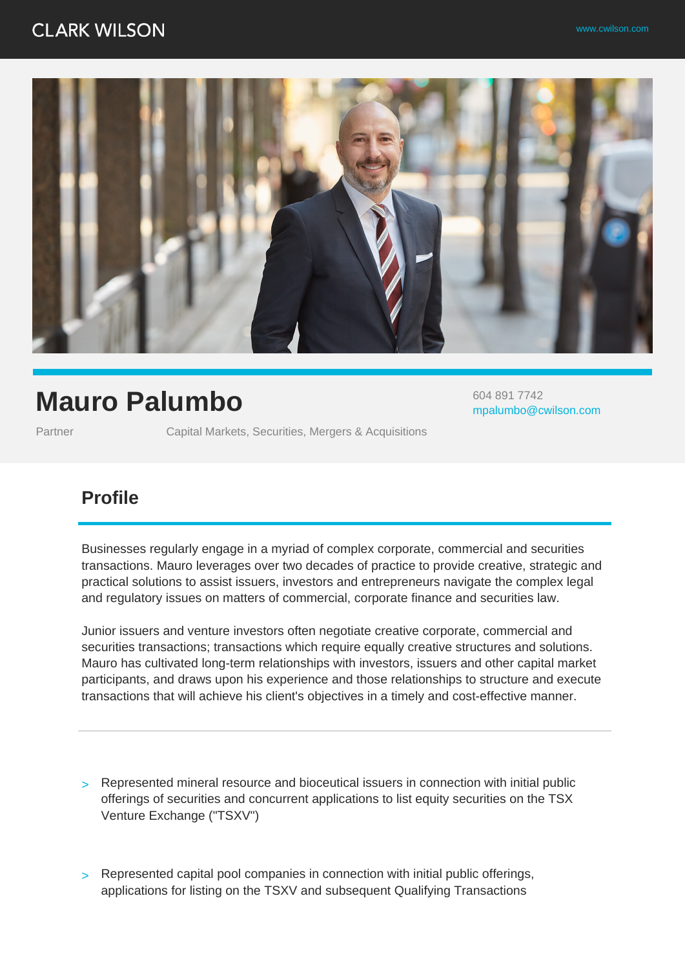## **CLARK WILSON**



# **Mauro Palumbo**

Partner **Capital Markets, Securities, Mergers & Acquisitions** 

604 891 7742 mpalumbo@cwilson.com

### **Profile**

Businesses regularly engage in a myriad of complex corporate, commercial and securities transactions. Mauro leverages over two decades of practice to provide creative, strategic and practical solutions to assist issuers, investors and entrepreneurs navigate the complex legal and regulatory issues on matters of commercial, corporate finance and securities law.

Junior issuers and venture investors often negotiate creative corporate, commercial and securities transactions; transactions which require equally creative structures and solutions. Mauro has cultivated long-term relationships with investors, issuers and other capital market participants, and draws upon his experience and those relationships to structure and execute transactions that will achieve his client's objectives in a timely and cost-effective manner.

- > Represented mineral resource and bioceutical issuers in connection with initial public offerings of securities and concurrent applications to list equity securities on the TSX Venture Exchange ("TSXV")
- > Represented capital pool companies in connection with initial public offerings, applications for listing on the TSXV and subsequent Qualifying Transactions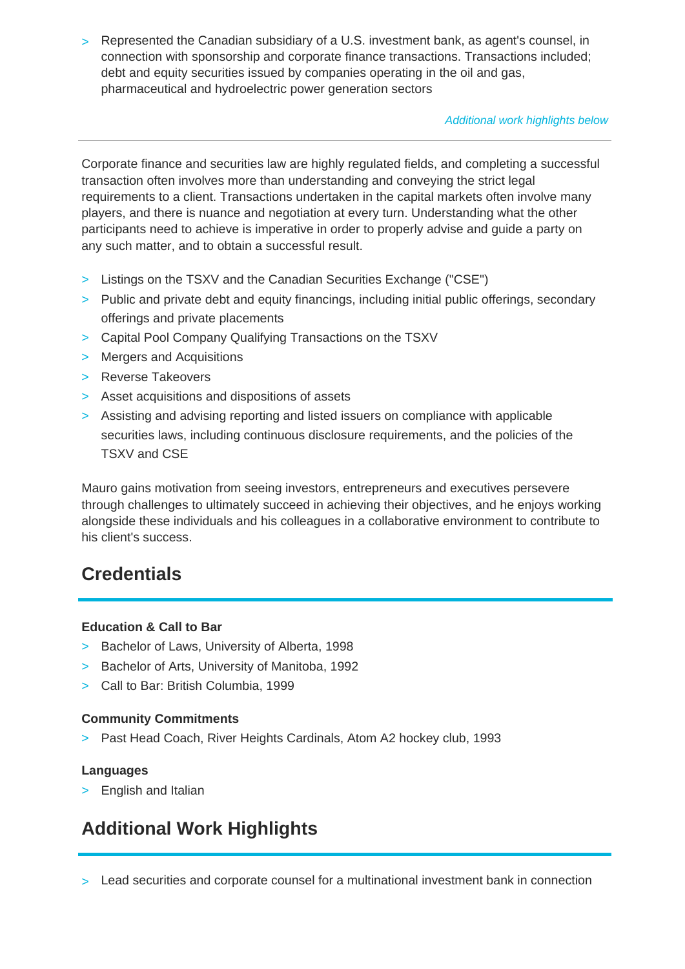> Represented the Canadian subsidiary of a U.S. investment bank, as agent's counsel, in connection with sponsorship and corporate finance transactions. Transactions included; debt and equity securities issued by companies operating in the oil and gas, pharmaceutical and hydroelectric power generation sectors

#### Additional work highlights below

Corporate finance and securities law are highly regulated fields, and completing a successful transaction often involves more than understanding and conveying the strict legal requirements to a client. Transactions undertaken in the capital markets often involve many players, and there is nuance and negotiation at every turn. Understanding what the other participants need to achieve is imperative in order to properly advise and guide a party on any such matter, and to obtain a successful result.

- > Listings on the TSXV and the Canadian Securities Exchange ("CSE")
- > Public and private debt and equity financings, including initial public offerings, secondary offerings and private placements
- > Capital Pool Company Qualifying Transactions on the TSXV
- > Mergers and Acquisitions
- > Reverse Takeovers
- > Asset acquisitions and dispositions of assets
- > Assisting and advising reporting and listed issuers on compliance with applicable securities laws, including continuous disclosure requirements, and the policies of the TSXV and CSE

Mauro gains motivation from seeing investors, entrepreneurs and executives persevere through challenges to ultimately succeed in achieving their objectives, and he enjoys working alongside these individuals and his colleagues in a collaborative environment to contribute to his client's success.

### **Credentials**

#### **Education & Call to Bar**

- > Bachelor of Laws, University of Alberta, 1998
- > Bachelor of Arts, University of Manitoba, 1992
- > Call to Bar: British Columbia, 1999

### **Community Commitments**

> Past Head Coach, River Heights Cardinals, Atom A2 hockey club, 1993

#### **Languages**

> English and Italian

### **Additional Work Highlights**

> Lead securities and corporate counsel for a multinational investment bank in connection